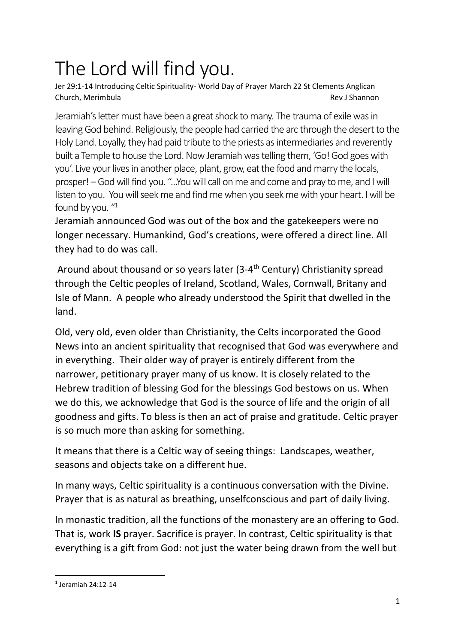## The Lord will find you.

Jer 29:1-14 Introducing Celtic Spirituality- World Day of Prayer March 22 St Clements Anglican Church, Merimbula Rev J Shannon

Jeramiah's letter must have been a great shock to many. The trauma of exile was in leaving God behind. Religiously, the people had carried the arc through the desert to the Holy Land. Loyally, they had paid tribute to the priests as intermediaries and reverently built a Temple to house the Lord. Now Jeramiah was telling them, 'Go! God goes with you'. Live your lives in another place, plant, grow, eat the food and marry the locals, prosper! –God will find you. "…You will call on me and come and pray to me, and I will listen to you. You will seek me and find me when you seek me with your heart. I will be found by you. "1

Jeramiah announced God was out of the box and the gatekeepers were no longer necessary. Humankind, God's creations, were offered a direct line. All they had to do was call.

Around about thousand or so years later (3-4<sup>th</sup> Century) Christianity spread through the Celtic peoples of Ireland, Scotland, Wales, Cornwall, Britany and Isle of Mann. A people who already understood the Spirit that dwelled in the land.

Old, very old, even older than Christianity, the Celts incorporated the Good News into an ancient spirituality that recognised that God was everywhere and in everything. Their older way of prayer is entirely different from the narrower, petitionary prayer many of us know. It is closely related to the Hebrew tradition of blessing God for the blessings God bestows on us. When we do this, we acknowledge that God is the source of life and the origin of all goodness and gifts. To bless is then an act of praise and gratitude. Celtic prayer is so much more than asking for something.

It means that there is a Celtic way of seeing things: Landscapes, weather, seasons and objects take on a different hue.

In many ways, Celtic spirituality is a continuous conversation with the Divine. Prayer that is as natural as breathing, unselfconscious and part of daily living.

In monastic tradition, all the functions of the monastery are an offering to God. That is, work **IS** prayer. Sacrifice is prayer. In contrast, Celtic spirituality is that everything is a gift from God: not just the water being drawn from the well but

<sup>1</sup> Jeramiah 24:12-14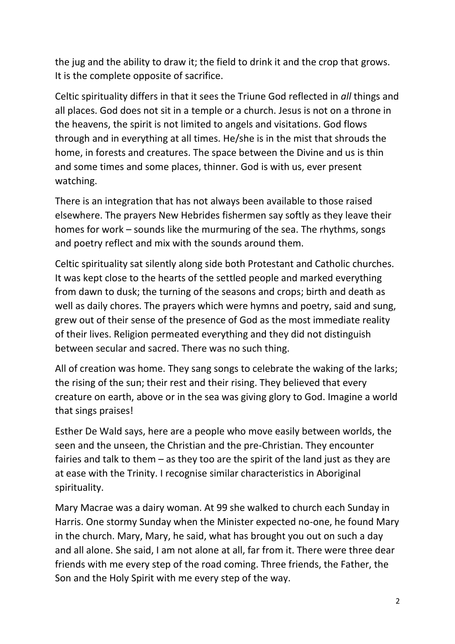the jug and the ability to draw it; the field to drink it and the crop that grows. It is the complete opposite of sacrifice.

Celtic spirituality differs in that it sees the Triune God reflected in *all* things and all places. God does not sit in a temple or a church. Jesus is not on a throne in the heavens, the spirit is not limited to angels and visitations. God flows through and in everything at all times. He/she is in the mist that shrouds the home, in forests and creatures. The space between the Divine and us is thin and some times and some places, thinner. God is with us, ever present watching.

There is an integration that has not always been available to those raised elsewhere. The prayers New Hebrides fishermen say softly as they leave their homes for work – sounds like the murmuring of the sea. The rhythms, songs and poetry reflect and mix with the sounds around them.

Celtic spirituality sat silently along side both Protestant and Catholic churches. It was kept close to the hearts of the settled people and marked everything from dawn to dusk; the turning of the seasons and crops; birth and death as well as daily chores. The prayers which were hymns and poetry, said and sung, grew out of their sense of the presence of God as the most immediate reality of their lives. Religion permeated everything and they did not distinguish between secular and sacred. There was no such thing.

All of creation was home. They sang songs to celebrate the waking of the larks; the rising of the sun; their rest and their rising. They believed that every creature on earth, above or in the sea was giving glory to God. Imagine a world that sings praises!

Esther De Wald says, here are a people who move easily between worlds, the seen and the unseen, the Christian and the pre-Christian. They encounter fairies and talk to them – as they too are the spirit of the land just as they are at ease with the Trinity. I recognise similar characteristics in Aboriginal spirituality.

Mary Macrae was a dairy woman. At 99 she walked to church each Sunday in Harris. One stormy Sunday when the Minister expected no-one, he found Mary in the church. Mary, Mary, he said, what has brought you out on such a day and all alone. She said, I am not alone at all, far from it. There were three dear friends with me every step of the road coming. Three friends, the Father, the Son and the Holy Spirit with me every step of the way.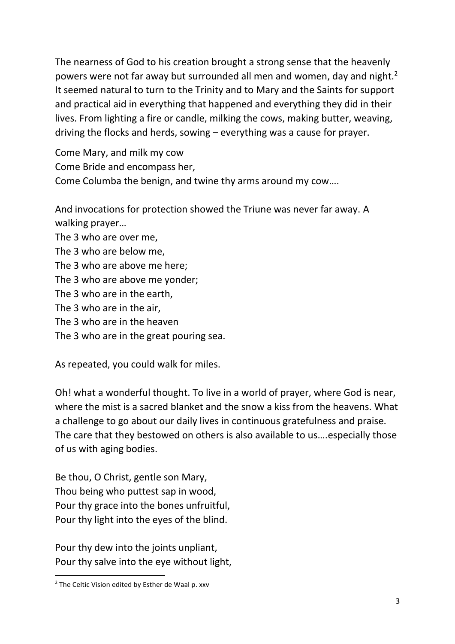The nearness of God to his creation brought a strong sense that the heavenly powers were not far away but surrounded all men and women, day and night.<sup>2</sup> It seemed natural to turn to the Trinity and to Mary and the Saints for support and practical aid in everything that happened and everything they did in their lives. From lighting a fire or candle, milking the cows, making butter, weaving, driving the flocks and herds, sowing – everything was a cause for prayer.

Come Mary, and milk my cow Come Bride and encompass her, Come Columba the benign, and twine thy arms around my cow….

And invocations for protection showed the Triune was never far away. A walking prayer…

The 3 who are over me,

The 3 who are below me,

The 3 who are above me here;

The 3 who are above me yonder;

The 3 who are in the earth,

The 3 who are in the air,

The 3 who are in the heaven

The 3 who are in the great pouring sea.

As repeated, you could walk for miles.

Oh! what a wonderful thought. To live in a world of prayer, where God is near, where the mist is a sacred blanket and the snow a kiss from the heavens. What a challenge to go about our daily lives in continuous gratefulness and praise. The care that they bestowed on others is also available to us….especially those of us with aging bodies.

Be thou, O Christ, gentle son Mary, Thou being who puttest sap in wood, Pour thy grace into the bones unfruitful, Pour thy light into the eyes of the blind.

Pour thy dew into the joints unpliant, Pour thy salve into the eye without light,

<sup>&</sup>lt;sup>2</sup> The Celtic Vision edited by Esther de Waal p. xxv